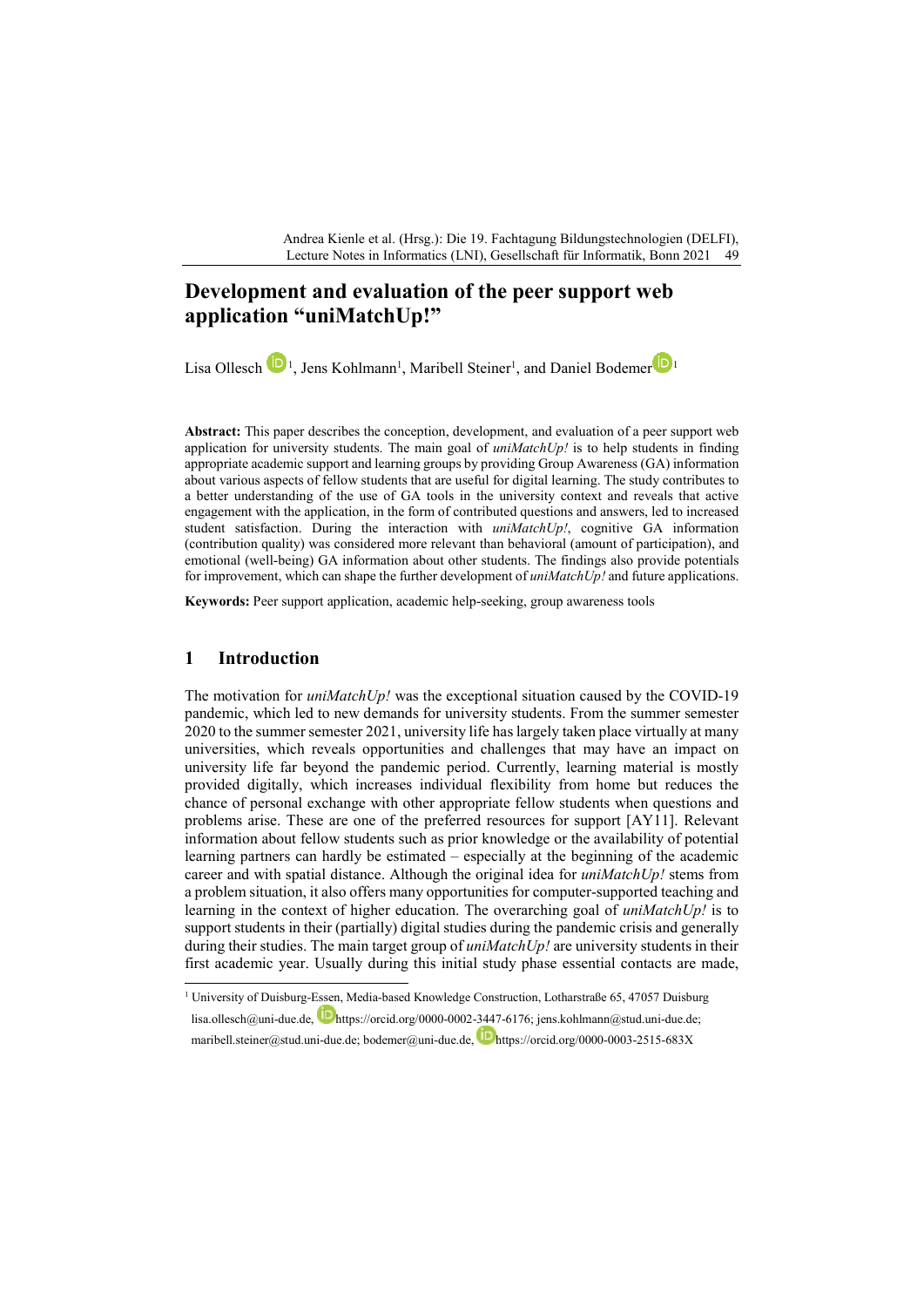Andrea Kienle et al. (Hrsg.): Die 19. Fachtagung Bildungstechnologien (DELFI), Lecture Notes in Informatics (LNI), Gesellschaft für Informatik, Bonn 2021 49

# **Development and evaluation of the peer support web application "uniMatchUp!"**

Lisa Ollesch  $\mathbf{U}^1$  $\mathbf{U}^1$ , Jens Kohlmann<sup>1</sup>, Maribell Steiner<sup>1</sup>, and Daniel Bodemer

**Abstract:** This paper describes the conception, development, and evaluation of a peer support web application for university students. The main goal of *uniMatchUp!* is to help students in finding appropriate academic support and learning groups by providing Group Awareness (GA) information about various aspects of fellow students that are useful for digital learning. The study contributes to a better understanding of the use of GA tools in the university context and reveals that active engagement with the application, in the form of contributed questions and answers, led to increased student satisfaction. During the interaction with *uniMatchUp!*, cognitive GA information (contribution quality) was considered more relevant than behavioral (amount of participation), and emotional (well-being) GA information about other students. The findings also provide potentials for improvement, which can shape the further development of *uniMatchUp!* and future applications.

**Keywords:** Peer support application, academic help-seeking, group awareness tools

## **1 Introduction**

The motivation for *uniMatchUp!* was the exceptional situation caused by the COVID-19 pandemic, which led to new demands for university students. From the summer semester 2020 to the summer semester 2021, university life haslargely taken place virtually at many universities, which reveals opportunities and challenges that may have an impact on university life far beyond the pandemic period. Currently, learning material is mostly provided digitally, which increases individual flexibility from home but reduces the chance of personal exchange with other appropriate fellow students when questions and problems arise. These are one of the preferred resources for support [AY11]. Relevant information about fellow students such as prior knowledge or the availability of potential learning partners can hardly be estimated – especially at the beginning of the academic career and with spatial distance. Although the original idea for *uniMatchUp!* stems from a problem situation, it also offers many opportunities for computer-supported teaching and learning in the context of higher education. The overarching goal of *uniMatchUp!* is to support students in their (partially) digital studies during the pandemic crisis and generally during their studies. The main target group of *uniMatchUp!* are university students in their first academic year. Usually during this initial study phase essential contacts are made,

<span id="page-0-0"></span><sup>&</sup>lt;sup>1</sup> University of Duisburg-[Essen](https://orcid.org/0000-0002-1825-0097), Media-based Knowledge Construction, Lotharstraße 65, 47057 Duisburg lisa.ollesch@uni-due.de, https://orcid.org/0000-0002-3447-6176[; jens.kohlmann@stud.uni-due.de;](mailto:jens.kohlmann@stud.uni-due.de) maribell.steiner@stud.uni-due.de; bodemer@uni-due.de, [h](https://orcid.org/0000-0002-1825-0097)ttps://orcid.org/0000-0003-2515-683X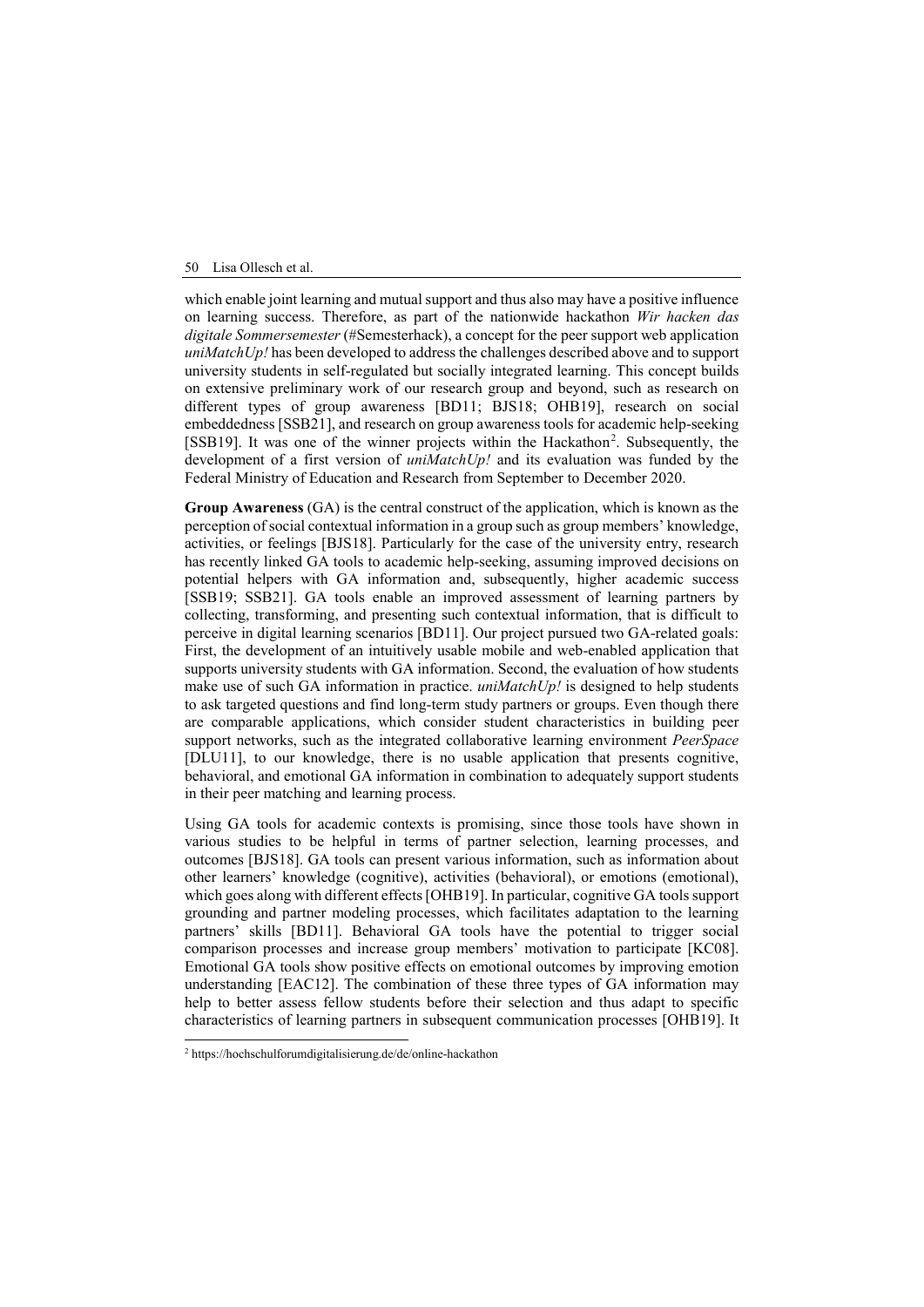which enable joint learning and mutual support and thus also may have a positive influence on learning success. Therefore, as part of the nationwide hackathon *Wir hacken das digitale Sommersemester* (#Semesterhack), a concept for the peer support web application *uniMatchUp!* has been developed to address the challenges described above and to support university students in self-regulated but socially integrated learning. This concept builds on extensive preliminary work of our research group and beyond, such as research on different types of group awareness [BD11; BJS18; OHB19], research on social embeddedness [SSB21], and research on group awareness tools for academic help-seeking [SSB19]. It was one of the winner projects within the Hackathon<sup>[2](#page-1-0)</sup>. Subsequently, the development of a first version of *uniMatchUp!* and its evaluation was funded by the Federal Ministry of Education and Research from September to December 2020.

**Group Awareness** (GA) is the central construct of the application, which is known as the perception of social contextual information in a group such as group members' knowledge, activities, or feelings [BJS18]. Particularly for the case of the university entry, research has recently linked GA tools to academic help-seeking, assuming improved decisions on potential helpers with GA information and, subsequently, higher academic success [SSB19; SSB21]. GA tools enable an improved assessment of learning partners by collecting, transforming, and presenting such contextual information, that is difficult to perceive in digital learning scenarios [BD11]. Our project pursued two GA-related goals: First, the development of an intuitively usable mobile and web-enabled application that supports university students with GA information. Second, the evaluation of how students make use of such GA information in practice. *uniMatchUp!* is designed to help students to ask targeted questions and find long-term study partners or groups. Even though there are comparable applications, which consider student characteristics in building peer support networks, such as the integrated collaborative learning environment *PeerSpace* [DLU11], to our knowledge, there is no usable application that presents cognitive, behavioral, and emotional GA information in combination to adequately support students in their peer matching and learning process.

Using GA tools for academic contexts is promising, since those tools have shown in various studies to be helpful in terms of partner selection, learning processes, and outcomes [BJS18]. GA tools can present various information, such as information about other learners' knowledge (cognitive), activities (behavioral), or emotions (emotional), which goes along with different effects [OHB19]. In particular, cognitive GA tools support grounding and partner modeling processes, which facilitates adaptation to the learning partners' skills [BD11]. Behavioral GA tools have the potential to trigger social comparison processes and increase group members' motivation to participate [KC08]. Emotional GA tools show positive effects on emotional outcomes by improving emotion understanding [EAC12]. The combination of these three types of GA information may help to better assess fellow students before their selection and thus adapt to specific characteristics of learning partners in subsequent communication processes [OHB19]. It

<span id="page-1-0"></span> <sup>2</sup> https://hochschulforumdigitalisierung.de/de/online-hackathon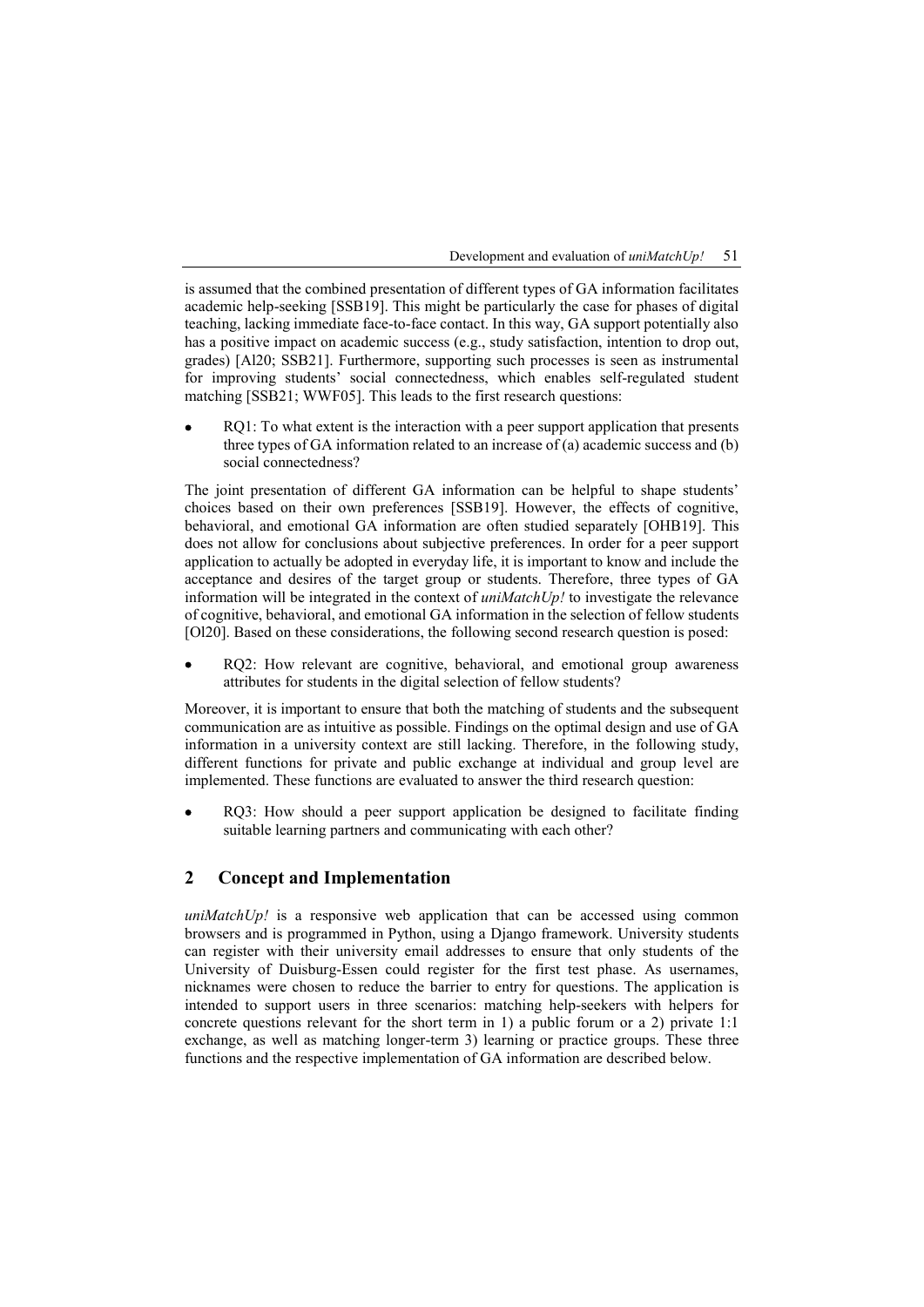is assumed that the combined presentation of different types of GA information facilitates academic help-seeking [SSB19]. This might be particularly the case for phases of digital teaching, lacking immediate face-to-face contact. In this way, GA support potentially also has a positive impact on academic success (e.g., study satisfaction, intention to drop out, grades) [Al20; SSB21]. Furthermore, supporting such processes is seen as instrumental for improving students' social connectedness, which enables self-regulated student matching [SSB21; WWF05]. This leads to the first research questions:

RQ1: To what extent is the interaction with a peer support application that presents three types of GA information related to an increase of (a) academic success and (b) social connectedness?

The joint presentation of different GA information can be helpful to shape students' choices based on their own preferences [SSB19]. However, the effects of cognitive, behavioral, and emotional GA information are often studied separately [OHB19]. This does not allow for conclusions about subjective preferences. In order for a peer support application to actually be adopted in everyday life, it is important to know and include the acceptance and desires of the target group or students. Therefore, three types of GA information will be integrated in the context of *uniMatchUp!* to investigate the relevance of cognitive, behavioral, and emotional GA information in the selection of fellow students [Ol20]. Based on these considerations, the following second research question is posed:

• RQ2: How relevant are cognitive, behavioral, and emotional group awareness attributes for students in the digital selection of fellow students?

Moreover, it is important to ensure that both the matching of students and the subsequent communication are as intuitive as possible. Findings on the optimal design and use of GA information in a university context are still lacking. Therefore, in the following study, different functions for private and public exchange at individual and group level are implemented. These functions are evaluated to answer the third research question:

• RQ3: How should a peer support application be designed to facilitate finding suitable learning partners and communicating with each other?

## **2 Concept and Implementation**

*uniMatchUp!* is a responsive web application that can be accessed using common browsers and is programmed in Python, using a Django framework. University students can register with their university email addresses to ensure that only students of the University of Duisburg-Essen could register for the first test phase. As usernames, nicknames were chosen to reduce the barrier to entry for questions. The application is intended to support users in three scenarios: matching help-seekers with helpers for concrete questions relevant for the short term in 1) a public forum or a 2) private 1:1 exchange, as well as matching longer-term 3) learning or practice groups. These three functions and the respective implementation of GA information are described below.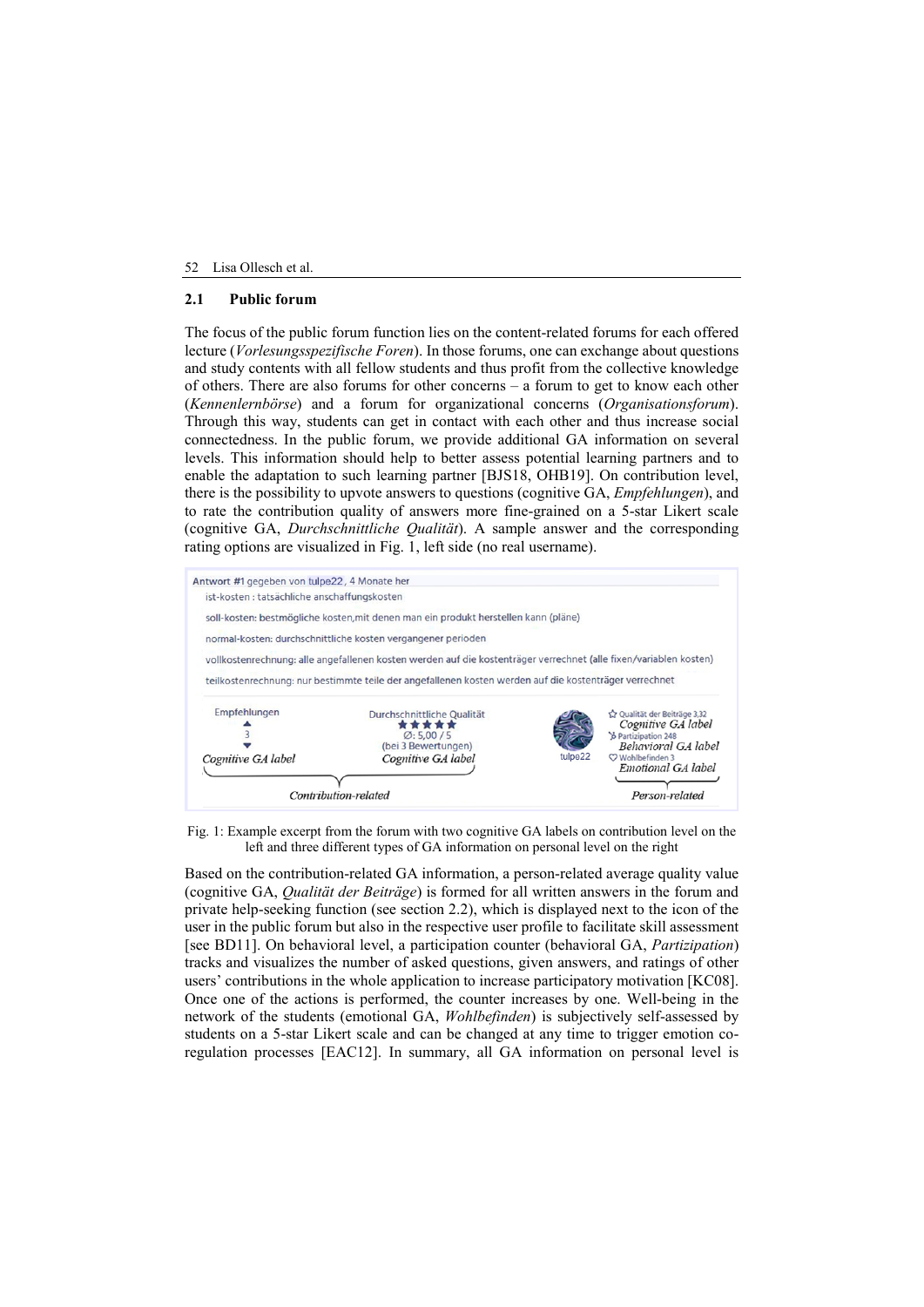### **2.1 Public forum**

The focus of the public forum function lies on the content-related forums for each offered lecture (*Vorlesungsspezifische Foren*). In those forums, one can exchange about questions and study contents with all fellow students and thus profit from the collective knowledge of others. There are also forums for other concerns – a forum to get to know each other (*Kennenlernbörse*) and a forum for organizational concerns (*Organisationsforum*). Through this way, students can get in contact with each other and thus increase social connectedness. In the public forum, we provide additional GA information on several levels. This information should help to better assess potential learning partners and to enable the adaptation to such learning partner [BJS18, OHB19]. On contribution level, there is the possibility to upvote answers to questions (cognitive GA, *Empfehlungen*), and to rate the contribution quality of answers more fine-grained on a 5-star Likert scale (cognitive GA, *Durchschnittliche Qualität*). A sample answer and the corresponding rating options are visualized in Fig. 1, left side (no real username).



Fig. 1: Example excerpt from the forum with two cognitive GA labels on contribution level on the left and three different types of GA information on personal level on the right

Based on the contribution-related GA information, a person-related average quality value (cognitive GA, *Qualität der Beiträge*) is formed for all written answers in the forum and private help-seeking function (see section 2.2), which is displayed next to the icon of the user in the public forum but also in the respective user profile to facilitate skill assessment [see BD11]. On behavioral level, a participation counter (behavioral GA, *Partizipation*) tracks and visualizes the number of asked questions, given answers, and ratings of other users' contributions in the whole application to increase participatory motivation [KC08]. Once one of the actions is performed, the counter increases by one. Well-being in the network of the students (emotional GA, *Wohlbefinden*) is subjectively self-assessed by students on a 5-star Likert scale and can be changed at any time to trigger emotion coregulation processes [EAC12]. In summary, all GA information on personal level is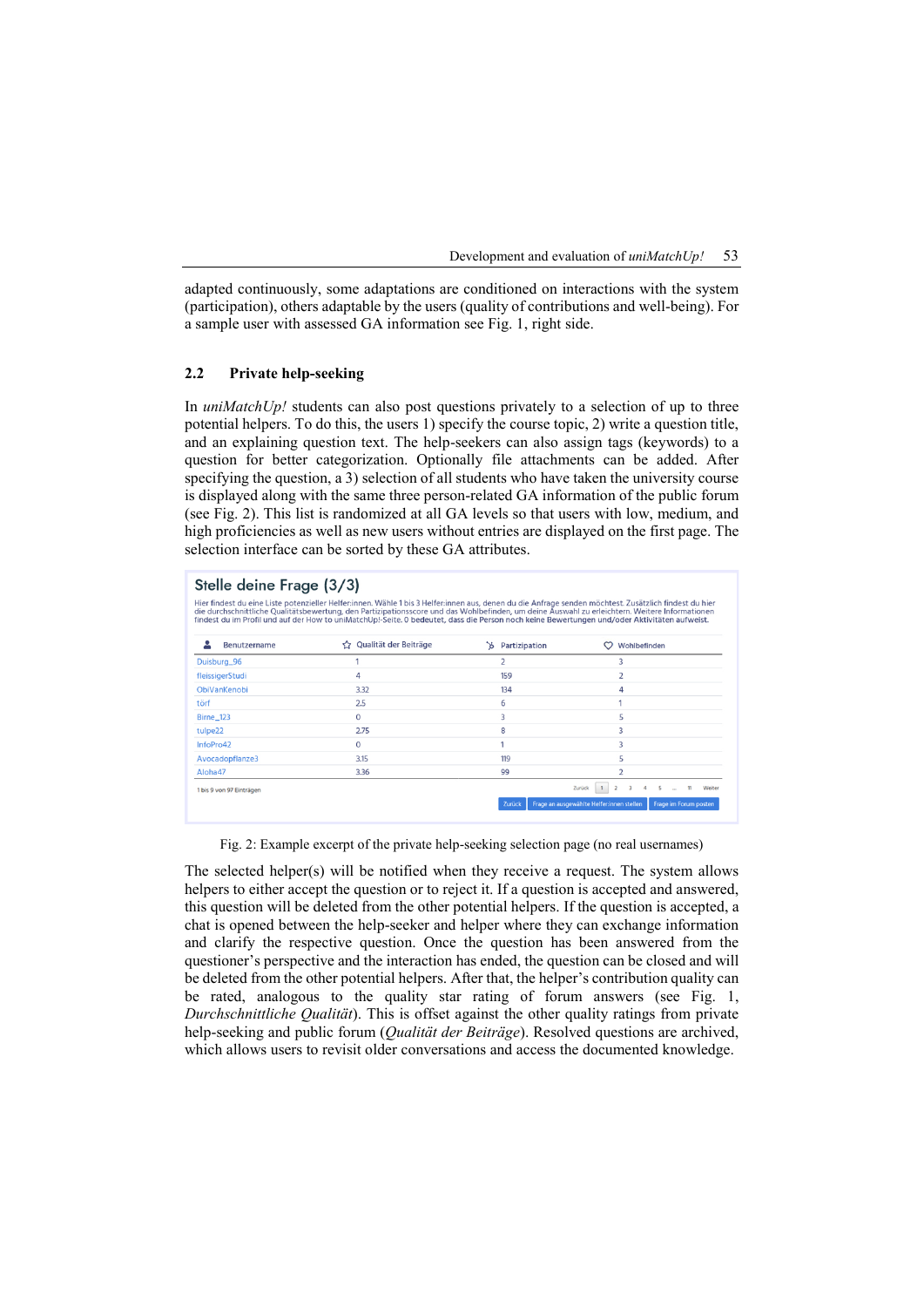| Development and evaluation of <i>uniMatchUp!</i> |  |  | 53 |
|--------------------------------------------------|--|--|----|
|--------------------------------------------------|--|--|----|

adapted continuously, some adaptations are conditioned on interactions with the system (participation), others adaptable by the users (quality of contributions and well-being). For a sample user with assessed GA information see Fig. 1, right side.

### **2.2 Private help-seeking**

In *uniMatchUp!* students can also post questions privately to a selection of up to three potential helpers. To do this, the users 1) specify the course topic, 2) write a question title, and an explaining question text. The help-seekers can also assign tags (keywords) to a question for better categorization. Optionally file attachments can be added. After specifying the question, a 3) selection of all students who have taken the university course is displayed along with the same three person-related GA information of the public forum (see Fig. 2). This list is randomized at all GA levels so that users with low, medium, and high proficiencies as well as new users without entries are displayed on the first page. The selection interface can be sorted by these GA attributes.

| Stelle deine Frage (3/3) | Hier findest du eine Liste potenzieller Helfer:innen. Wähle 1 bis 3 Helfer:innen aus, denen du die Anfrage senden möchtest. Zusätzlich findest du hier<br>die durchschnittliche Qualitätsbewertung, den Partizipationsscore und das Wohlbefinden, um deine Auswahl zu erleichtern. Weitere Informationen<br>findest du im Profil und auf der How to uniMatchUp!-Seite. 0 bedeutet, dass die Person noch keine Bewertungen und/oder Aktivitäten aufweist. |                     |                                                                                                                                |
|--------------------------|----------------------------------------------------------------------------------------------------------------------------------------------------------------------------------------------------------------------------------------------------------------------------------------------------------------------------------------------------------------------------------------------------------------------------------------------------------|---------------------|--------------------------------------------------------------------------------------------------------------------------------|
| <b>Benutzername</b>      | Qualität der Beiträge<br>≺.≻                                                                                                                                                                                                                                                                                                                                                                                                                             | Partizipation<br>`ਠ | Wohlbefinden<br>ຕ                                                                                                              |
| Duisburg_96              |                                                                                                                                                                                                                                                                                                                                                                                                                                                          |                     |                                                                                                                                |
| fleissigerStudi          | 4                                                                                                                                                                                                                                                                                                                                                                                                                                                        | 159                 |                                                                                                                                |
| ObiVanKenobi             | 3.32                                                                                                                                                                                                                                                                                                                                                                                                                                                     | 134                 | 4                                                                                                                              |
| törf                     | 2.5                                                                                                                                                                                                                                                                                                                                                                                                                                                      | 6                   |                                                                                                                                |
| Birne_123                | 0                                                                                                                                                                                                                                                                                                                                                                                                                                                        | 3                   | 5                                                                                                                              |
| tulpe22                  | 2.75                                                                                                                                                                                                                                                                                                                                                                                                                                                     | 8                   | 3                                                                                                                              |
| InfoPro42                | $\Omega$                                                                                                                                                                                                                                                                                                                                                                                                                                                 |                     | 3                                                                                                                              |
| Avocadopflanze3          | 3.15                                                                                                                                                                                                                                                                                                                                                                                                                                                     | 119                 | 5                                                                                                                              |
| Aloha47                  | 3.36                                                                                                                                                                                                                                                                                                                                                                                                                                                     | 99                  |                                                                                                                                |
| 1 bis 9 von 97 Einträgen |                                                                                                                                                                                                                                                                                                                                                                                                                                                          | Zurück              | $\overline{2}$<br>$\mathbf{z}$<br>11<br>Weiter<br>Zurück<br>Frage an ausgewählte Helfer:innen stellen<br>Frage im Forum posten |

Fig. 2: Example excerpt of the private help-seeking selection page (no real usernames)

The selected helper(s) will be notified when they receive a request. The system allows helpers to either accept the question or to reject it. If a question is accepted and answered, this question will be deleted from the other potential helpers. If the question is accepted, a chat is opened between the help-seeker and helper where they can exchange information and clarify the respective question. Once the question has been answered from the questioner's perspective and the interaction has ended, the question can be closed and will be deleted from the other potential helpers. After that, the helper's contribution quality can be rated, analogous to the quality star rating of forum answers (see Fig. 1, *Durchschnittliche Qualität*). This is offset against the other quality ratings from private help-seeking and public forum (*Qualität der Beiträge*). Resolved questions are archived, which allows users to revisit older conversations and access the documented knowledge.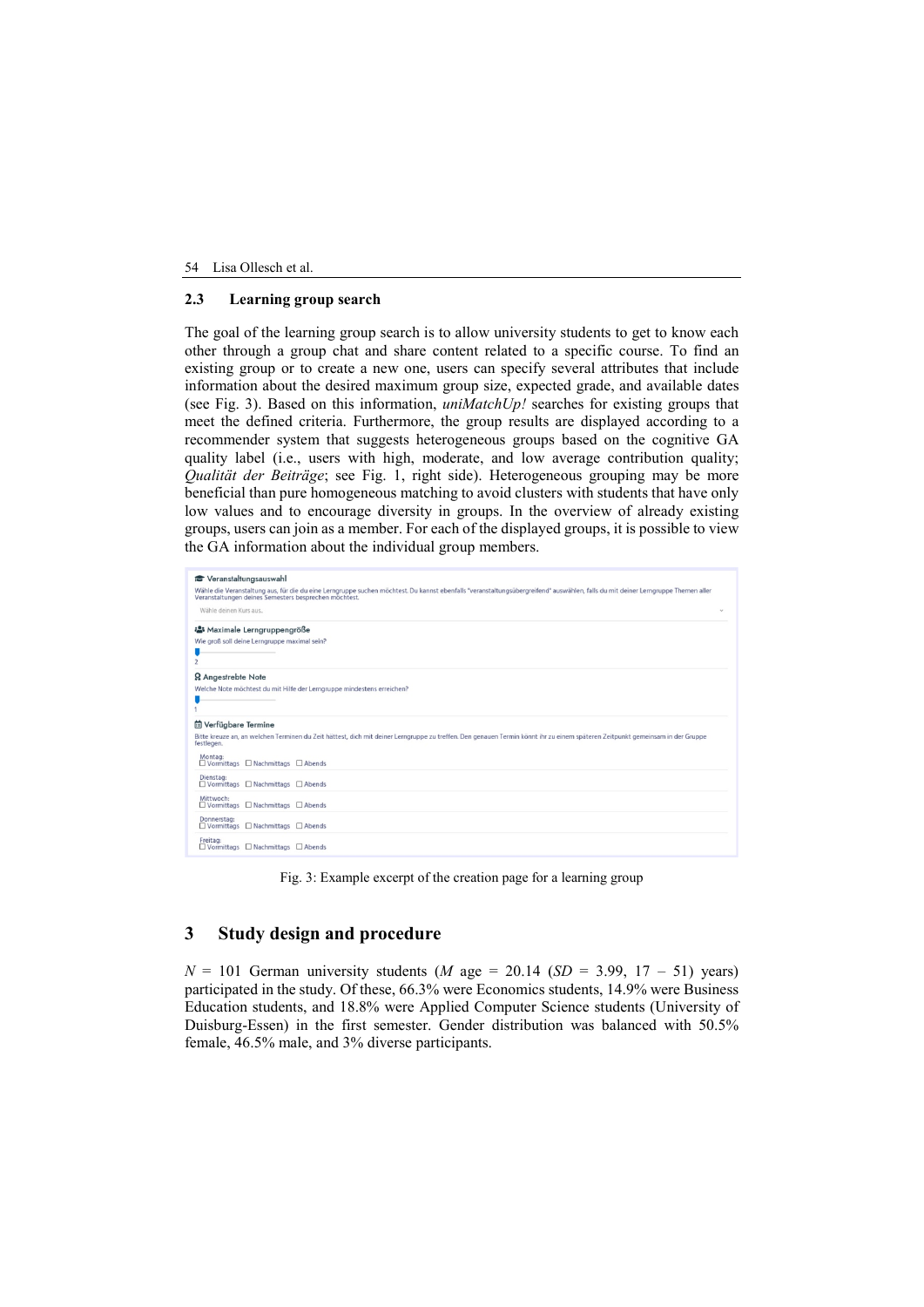### **2.3 Learning group search**

The goal of the learning group search is to allow university students to get to know each other through a group chat and share content related to a specific course. To find an existing group or to create a new one, users can specify several attributes that include information about the desired maximum group size, expected grade, and available dates (see Fig. 3). Based on this information, *uniMatchUp!* searches for existing groups that meet the defined criteria. Furthermore, the group results are displayed according to a recommender system that suggests heterogeneous groups based on the cognitive GA quality label (i.e., users with high, moderate, and low average contribution quality; *Qualität der Beiträge*; see Fig. 1, right side). Heterogeneous grouping may be more beneficial than pure homogeneous matching to avoid clusters with students that have only low values and to encourage diversity in groups. In the overview of already existing groups, users can join as a member. For each of the displayed groups, it is possible to view the GA information about the individual group members.

| <b>The Veranstaltungsauswahl</b><br>Wähle die Veranstaltung aus, für die du eine Lerngruppe suchen möchtest. Du kannst ebenfalls "veranstaltungsübergreifend" auswählen, falls du mit deiner Lerngruppe Themen aller<br>Veranstaltungen deines Semesters besprechen möchtest. |
|-------------------------------------------------------------------------------------------------------------------------------------------------------------------------------------------------------------------------------------------------------------------------------|
| Wähle deinen Kurs aus.<br>$\sim$                                                                                                                                                                                                                                              |
| : <sup>2</sup> Maximale Lerngruppengröße                                                                                                                                                                                                                                      |
| Wie groß soll deine Lerngruppe maximal sein?                                                                                                                                                                                                                                  |
| $\overline{2}$                                                                                                                                                                                                                                                                |
| <b>Q</b> Angestrebte Note                                                                                                                                                                                                                                                     |
| Welche Note möchtest du mit Hilfe der Lerngruppe mindestens erreichen?                                                                                                                                                                                                        |
|                                                                                                                                                                                                                                                                               |
|                                                                                                                                                                                                                                                                               |
| <b>茴 Verfügbare Termine</b>                                                                                                                                                                                                                                                   |
| Bitte kreuze an, an welchen Terminen du Zeit hättest, dich mit deiner Lerngruppe zu treffen. Den genauen Termin könnt ihr zu einem späteren Zeitpunkt gemeinsam in der Gruppe<br>festlegen.                                                                                   |
| Montag:<br>□ Vormittags □ Nachmittags □ Abends                                                                                                                                                                                                                                |
| Dienstag:<br>□ Vormittags □ Nachmittags □ Abends                                                                                                                                                                                                                              |
| Mittwoch:<br>$\Box$ Vormittags $\Box$ Nachmittags $\Box$ Abends                                                                                                                                                                                                               |
| Donnerstag:<br>□ Vormittags □ Nachmittags □ Abends                                                                                                                                                                                                                            |
| Freitag:<br>□ Vormittags □ Nachmittags □ Abends                                                                                                                                                                                                                               |

Fig. 3: Example excerpt of the creation page for a learning group

## **3 Study design and procedure**

 $N = 101$  German university students (*M* age = 20.14 (*SD* = 3.99, 17 – 51) years) participated in the study. Of these, 66.3% were Economics students, 14.9% were Business Education students, and 18.8% were Applied Computer Science students (University of Duisburg-Essen) in the first semester. Gender distribution was balanced with 50.5% female, 46.5% male, and 3% diverse participants.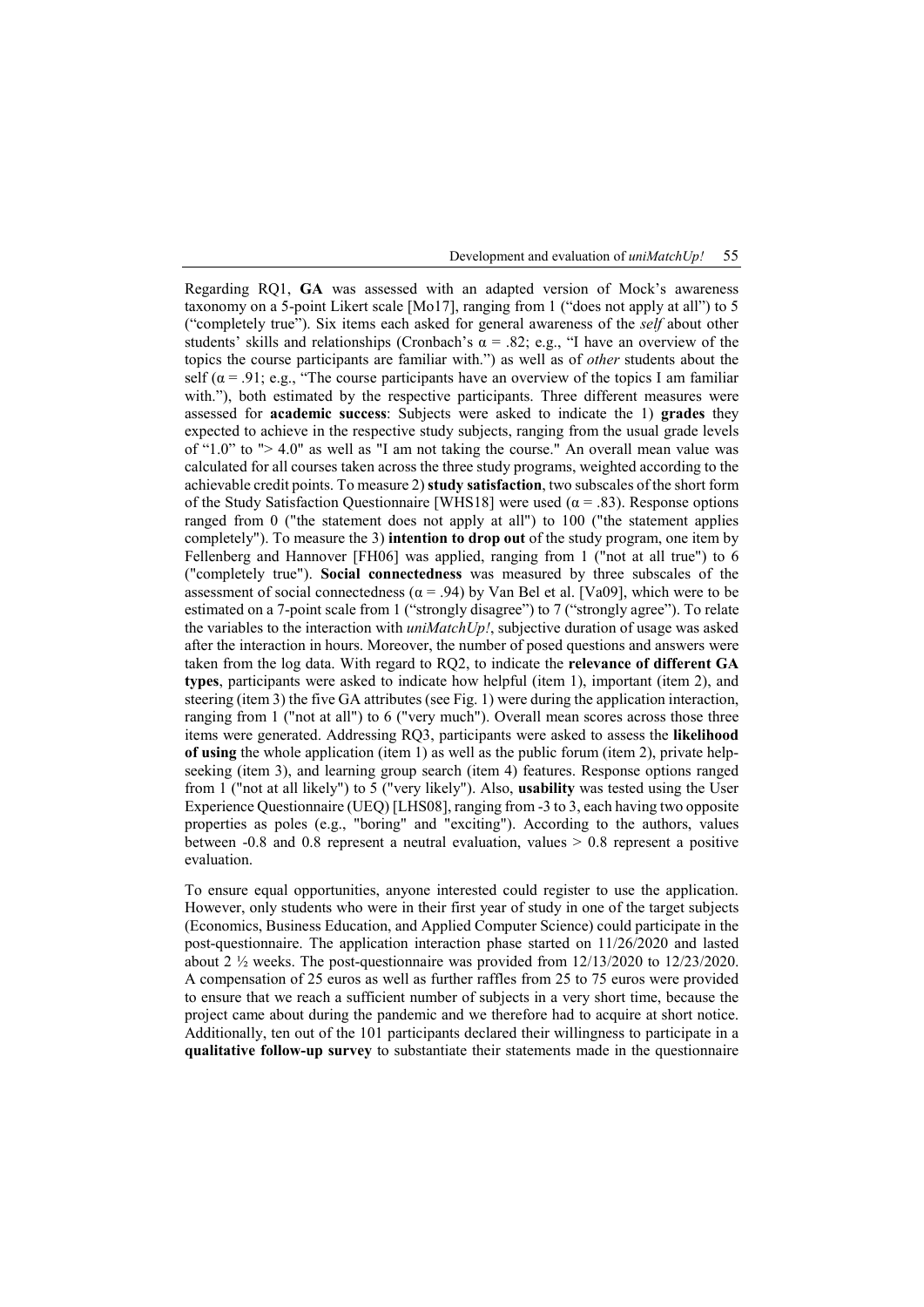Regarding RQ1, **GA** was assessed with an adapted version of Mock's awareness taxonomy on a 5-point Likert scale [Mo17], ranging from 1 ("does not apply at all") to 5 ("completely true"). Six items each asked for general awareness of the *self* about other students' skills and relationships (Cronbach's  $\alpha = .82$ ; e.g., "I have an overview of the topics the course participants are familiar with.") as well as of *other* students about the self ( $\alpha$  = .91; e.g., "The course participants have an overview of the topics I am familiar with."), both estimated by the respective participants. Three different measures were assessed for **academic success**: Subjects were asked to indicate the 1) **grades** they expected to achieve in the respective study subjects, ranging from the usual grade levels of "1.0" to "> 4.0" as well as "I am not taking the course." An overall mean value was calculated for all courses taken across the three study programs, weighted according to the achievable credit points. To measure 2) **study satisfaction**, two subscales of the short form of the Study Satisfaction Questionnaire [WHS18] were used ( $\alpha$  = .83). Response options ranged from 0 ("the statement does not apply at all") to 100 ("the statement applies completely"). To measure the 3) **intention to drop out** of the study program, one item by Fellenberg and Hannover [FH06] was applied, ranging from 1 ("not at all true") to 6 ("completely true"). **Social connectedness** was measured by three subscales of the assessment of social connectedness ( $\alpha$  = .94) by Van Bel et al. [Va09], which were to be estimated on a 7-point scale from 1 ("strongly disagree") to 7 ("strongly agree"). To relate the variables to the interaction with *uniMatchUp!*, subjective duration of usage was asked after the interaction in hours. Moreover, the number of posed questions and answers were taken from the log data. With regard to RQ2, to indicate the **relevance of different GA types**, participants were asked to indicate how helpful (item 1), important (item 2), and steering (item 3) the five GA attributes (see Fig. 1) were during the application interaction, ranging from 1 ("not at all") to 6 ("very much"). Overall mean scores across those three items were generated. Addressing RQ3, participants were asked to assess the **likelihood of using** the whole application (item 1) as well as the public forum (item 2), private helpseeking (item 3), and learning group search (item 4) features. Response options ranged from 1 ("not at all likely") to 5 ("very likely"). Also, **usability** was tested using the User Experience Questionnaire (UEQ) [LHS08], ranging from -3 to 3, each having two opposite properties as poles (e.g., "boring" and "exciting"). According to the authors, values between  $-0.8$  and  $0.8$  represent a neutral evaluation, values  $> 0.8$  represent a positive evaluation.

To ensure equal opportunities, anyone interested could register to use the application. However, only students who were in their first year of study in one of the target subjects (Economics, Business Education, and Applied Computer Science) could participate in the post-questionnaire. The application interaction phase started on 11/26/2020 and lasted about 2  $\frac{1}{2}$  weeks. The post-questionnaire was provided from 12/13/2020 to 12/23/2020. A compensation of 25 euros as well as further raffles from 25 to 75 euros were provided to ensure that we reach a sufficient number of subjects in a very short time, because the project came about during the pandemic and we therefore had to acquire at short notice. Additionally, ten out of the 101 participants declared their willingness to participate in a **qualitative follow-up survey** to substantiate their statements made in the questionnaire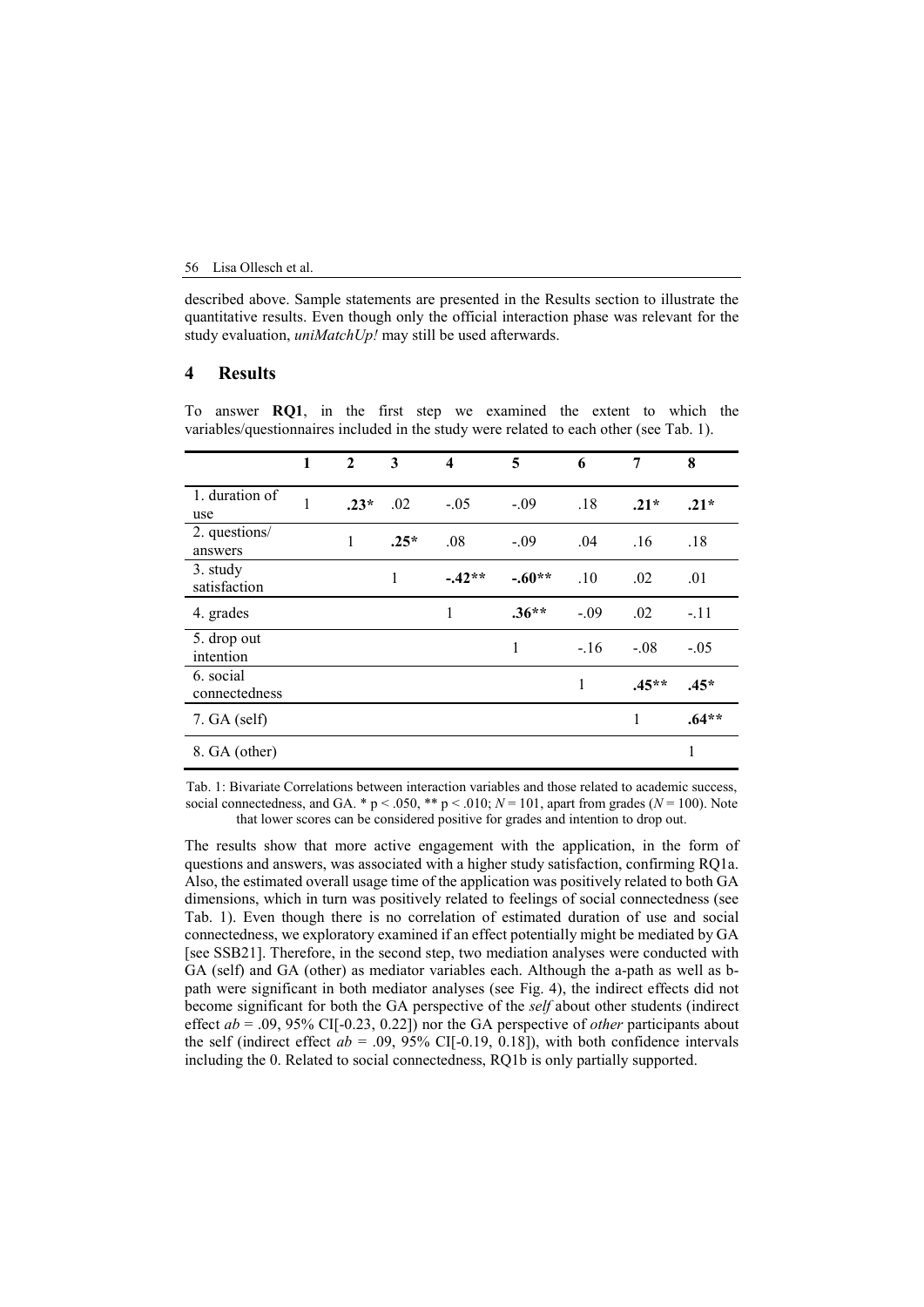described above. Sample statements are presented in the Results section to illustrate the quantitative results. Even though only the official interaction phase was relevant for the study evaluation, *uniMatchUp!* may still be used afterwards.

### **4 Results**

To answer **RQ1**, in the first step we examined the extent to which the variables/questionnaires included in the study were related to each other (see Tab. 1).

|                            | 1 | $\overline{2}$ | 3      | $\overline{\mathbf{4}}$ | 5        | 6      | 7       | 8            |
|----------------------------|---|----------------|--------|-------------------------|----------|--------|---------|--------------|
| 1. duration of<br>use      | 1 | $.23*$         | .02    | $-.05$                  | $-.09$   | .18    | $.21*$  | $.21*$       |
| 2. questions/<br>answers   |   | 1              | $.25*$ | .08                     | $-.09$   | .04    | .16     | .18          |
| 3. study<br>satisfaction   |   |                | 1      | $-42**$                 | $-.60**$ | .10    | .02     | .01          |
| 4. grades                  |   |                |        | 1                       | $.36**$  | $-.09$ | .02     | $-.11$       |
| 5. drop out<br>intention   |   |                |        |                         | 1        | $-.16$ | $-.08$  | $-.05$       |
| 6. social<br>connectedness |   |                |        |                         |          | 1      | $.45**$ | $.45*$       |
| $7. GA$ (self)             |   |                |        |                         |          |        | 1       | $.64**$      |
| 8. GA (other)              |   |                |        |                         |          |        |         | $\mathbf{1}$ |

Tab. 1: Bivariate Correlations between interaction variables and those related to academic success, social connectedness, and GA. \*  $p < .050$ , \*\*  $p < .010$ ;  $N = 101$ , apart from grades ( $N = 100$ ). Note that lower scores can be considered positive for grades and intention to drop out.

The results show that more active engagement with the application, in the form of questions and answers, was associated with a higher study satisfaction, confirming RQ1a. Also, the estimated overall usage time of the application was positively related to both GA dimensions, which in turn was positively related to feelings of social connectedness (see Tab. 1). Even though there is no correlation of estimated duration of use and social connectedness, we exploratory examined if an effect potentially might be mediated by GA [see SSB21]. Therefore, in the second step, two mediation analyses were conducted with GA (self) and GA (other) as mediator variables each. Although the a-path as well as bpath were significant in both mediator analyses (see Fig. 4), the indirect effects did not become significant for both the GA perspective of the *self* about other students (indirect effect *ab* = .09, 95% CI[-0.23, 0.22]) nor the GA perspective of *other* participants about the self (indirect effect  $ab = .09$ , 95% CI<sup> $[-0.19, 0.18]$ </sup>), with both confidence intervals including the 0. Related to social connectedness, RQ1b is only partially supported.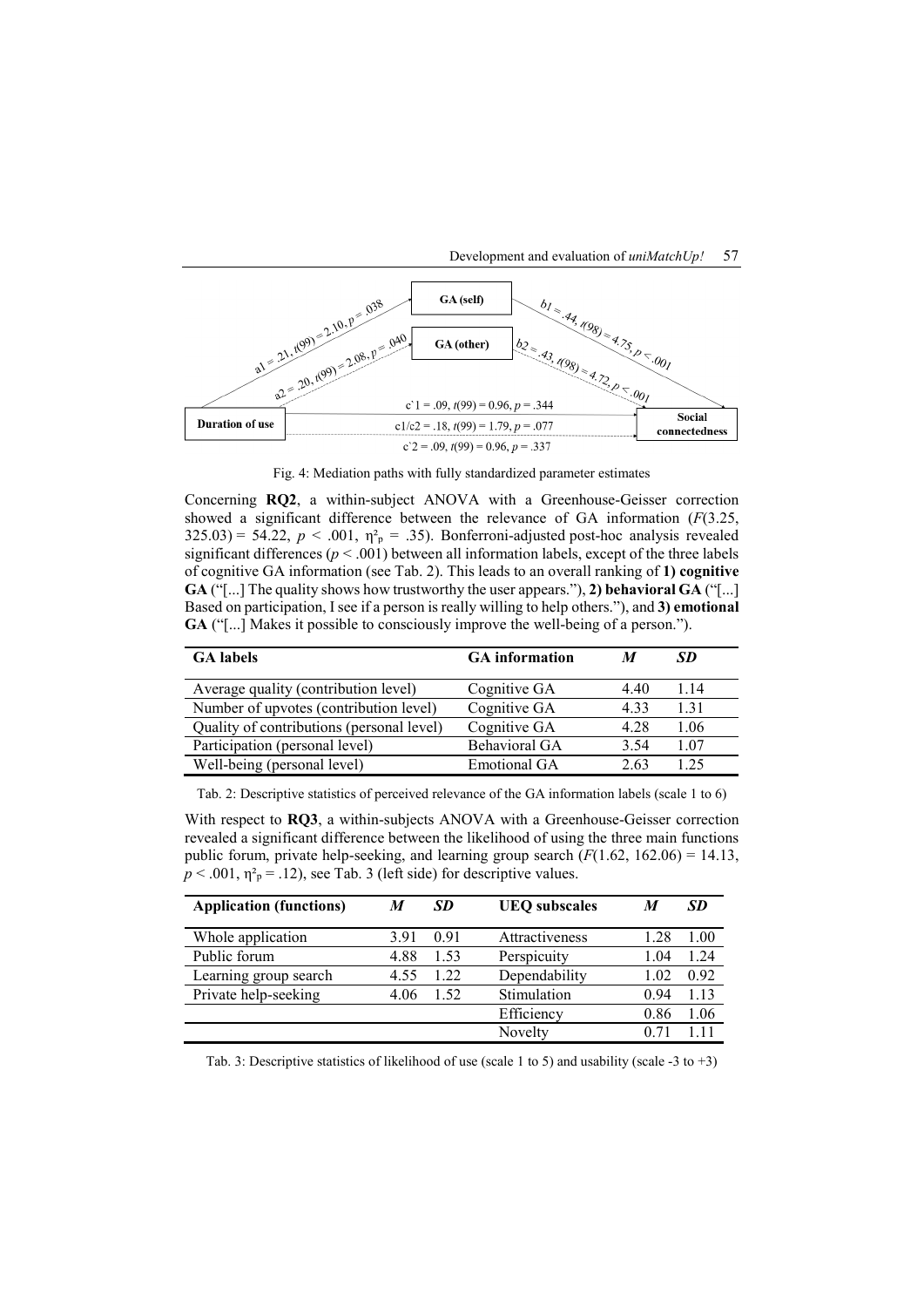

Fig. 4: Mediation paths with fully standardized parameter estimates

Concerning **RQ2**, a within-subject ANOVA with a Greenhouse-Geisser correction showed a significant difference between the relevance of GA information (*F*(3.25, 325.03) = 54.22,  $p < .001$ ,  $\eta_p^2 = .35$ ). Bonferroni-adjusted post-hoc analysis revealed significant differences ( $p < .001$ ) between all information labels, except of the three labels of cognitive GA information (see Tab. 2). This leads to an overall ranking of **1) cognitive GA** ("[...] The quality shows how trustworthy the user appears."), **2) behavioral GA** ("[...] Based on participation, I see if a person is really willing to help others."), and **3) emotional GA** ("[...] Makes it possible to consciously improve the well-being of a person.").

| <b>GA</b> labels                          | <b>GA</b> information |      | SD   |
|-------------------------------------------|-----------------------|------|------|
| Average quality (contribution level)      | Cognitive GA          | 4.40 | 1.14 |
| Number of upvotes (contribution level)    | Cognitive GA          | 4.33 | 1.31 |
| Quality of contributions (personal level) | Cognitive GA          | 4.28 | 1.06 |
| Participation (personal level)            | Behavioral GA         | 3.54 | 1.07 |
| Well-being (personal level)               | Emotional GA          | 2.63 | 125  |

Tab. 2: Descriptive statistics of perceived relevance of the GA information labels (scale 1 to 6)

With respect to **RQ3**, a within-subjects ANOVA with a Greenhouse-Geisser correction revealed a significant difference between the likelihood of using the three main functions public forum, private help-seeking, and learning group search (*F*(1.62, 162.06) = 14.13,  $p < .001$ ,  $\eta^2$ <sub>p</sub> = .12), see Tab. 3 (left side) for descriptive values.

| <b>Application (functions)</b> | M    | <b>SD</b> | <b>UEQ</b> subscales | M    | SD   |
|--------------------------------|------|-----------|----------------------|------|------|
| Whole application              | 3.91 | 0.91      | Attractiveness       | 1.28 | 1.00 |
| Public forum                   | 4.88 | 1.53      | Perspicuity          | 1.04 | 124  |
| Learning group search          | 4.55 | 122       | Dependability        | 1.02 | 0.92 |
| Private help-seeking           | 4.06 | 1.52      | Stimulation          | 0.94 | 1.13 |
|                                |      |           | Efficiency           | 0.86 | 1.06 |
|                                |      |           | Novelty              | በ 71 |      |

Tab. 3: Descriptive statistics of likelihood of use (scale 1 to 5) and usability (scale -3 to +3)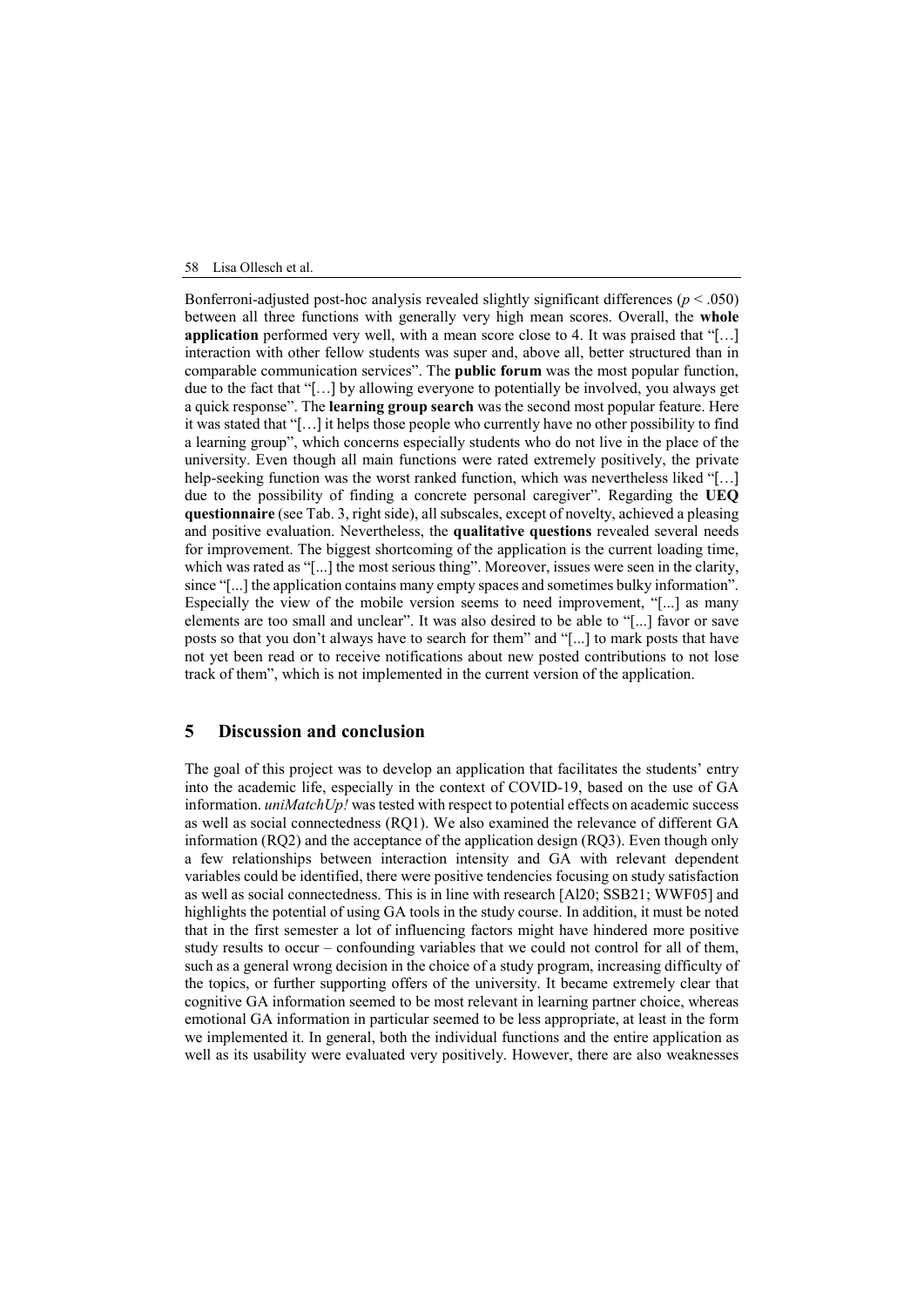Bonferroni-adjusted post-hoc analysis revealed slightly significant differences (*p* < .050) between all three functions with generally very high mean scores. Overall, the **whole application** performed very well, with a mean score close to 4. It was praised that "[…] interaction with other fellow students was super and, above all, better structured than in comparable communication services". The **public forum** was the most popular function, due to the fact that "[…] by allowing everyone to potentially be involved, you always get a quick response". The **learning group search** was the second most popular feature. Here it was stated that "[…] it helps those people who currently have no other possibility to find a learning group", which concerns especially students who do not live in the place of the university. Even though all main functions were rated extremely positively, the private help-seeking function was the worst ranked function, which was nevertheless liked "[…] due to the possibility of finding a concrete personal caregiver". Regarding the **UEQ questionnaire** (see Tab. 3, right side), all subscales, except of novelty, achieved a pleasing and positive evaluation. Nevertheless, the **qualitative questions** revealed several needs for improvement. The biggest shortcoming of the application is the current loading time, which was rated as "[...] the most serious thing". Moreover, issues were seen in the clarity, since "[...] the application contains many empty spaces and sometimes bulky information". Especially the view of the mobile version seems to need improvement, "[...] as many elements are too small and unclear". It was also desired to be able to "[...] favor or save posts so that you don't always have to search for them" and "[...] to mark posts that have not yet been read or to receive notifications about new posted contributions to not lose track of them", which is not implemented in the current version of the application.

## **5 Discussion and conclusion**

The goal of this project was to develop an application that facilitates the students' entry into the academic life, especially in the context of COVID-19, based on the use of GA information. *uniMatchUp!* was tested with respect to potential effects on academic success as well as social connectedness (RQ1). We also examined the relevance of different GA information (RQ2) and the acceptance of the application design (RQ3). Even though only a few relationships between interaction intensity and GA with relevant dependent variables could be identified, there were positive tendencies focusing on study satisfaction as well as social connectedness. This is in line with research [Al20; SSB21; WWF05] and highlights the potential of using GA tools in the study course. In addition, it must be noted that in the first semester a lot of influencing factors might have hindered more positive study results to occur – confounding variables that we could not control for all of them, such as a general wrong decision in the choice of a study program, increasing difficulty of the topics, or further supporting offers of the university. It became extremely clear that cognitive GA information seemed to be most relevant in learning partner choice, whereas emotional GA information in particular seemed to be less appropriate, at least in the form we implemented it. In general, both the individual functions and the entire application as well as its usability were evaluated very positively. However, there are also weaknesses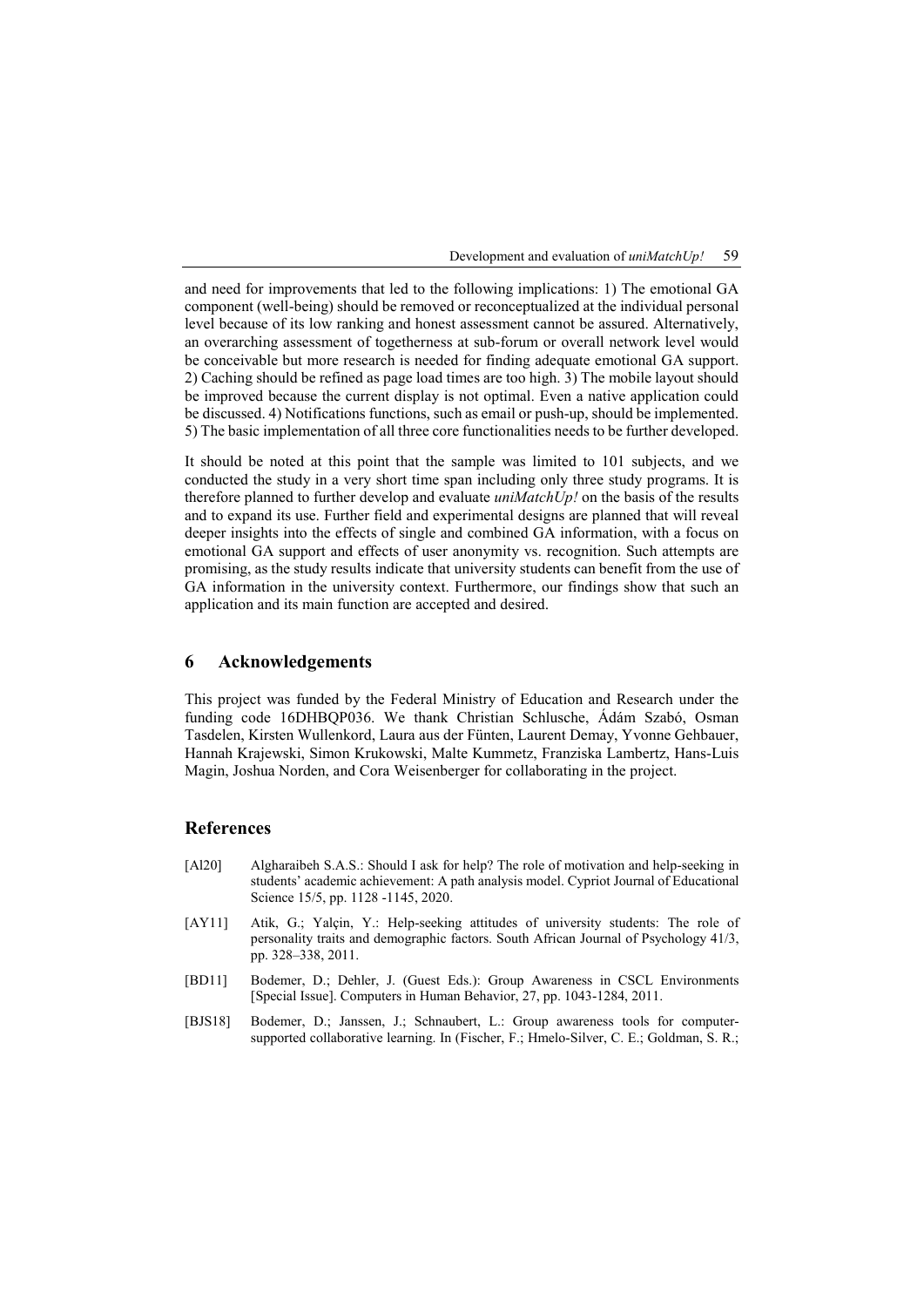and need for improvements that led to the following implications: 1) The emotional GA component (well-being) should be removed or reconceptualized at the individual personal level because of its low ranking and honest assessment cannot be assured. Alternatively, an overarching assessment of togetherness at sub-forum or overall network level would be conceivable but more research is needed for finding adequate emotional GA support. 2) Caching should be refined as page load times are too high. 3) The mobile layout should be improved because the current display is not optimal. Even a native application could be discussed. 4) Notifications functions, such as email or push-up, should be implemented. 5) The basic implementation of all three core functionalities needs to be further developed.

It should be noted at this point that the sample was limited to 101 subjects, and we conducted the study in a very short time span including only three study programs. It is therefore planned to further develop and evaluate *uniMatchUp!* on the basis of the results and to expand its use. Further field and experimental designs are planned that will reveal deeper insights into the effects of single and combined GA information, with a focus on emotional GA support and effects of user anonymity vs. recognition. Such attempts are promising, as the study results indicate that university students can benefit from the use of GA information in the university context. Furthermore, our findings show that such an application and its main function are accepted and desired.

## **6 Acknowledgements**

This project was funded by the Federal Ministry of Education and Research under the funding code 16DHBQP036. We thank Christian Schlusche, Ádám Szabó, Osman Tasdelen, Kirsten Wullenkord, Laura aus der Fünten, Laurent Demay, Yvonne Gehbauer, Hannah Krajewski, Simon Krukowski, Malte Kummetz, Franziska Lambertz, Hans-Luis Magin, Joshua Norden, and Cora Weisenberger for collaborating in the project.

## **References**

- [Al20] Algharaibeh S.A.S.: Should I ask for help? The role of motivation and help-seeking in students' academic achievement: A path analysis model. Cypriot Journal of Educational Science 15/5, pp. 1128 -1145, 2020.
- [AY11] Atik, G.; Yalçin, Y.: Help-seeking attitudes of university students: The role of personality traits and demographic factors. South African Journal of Psychology 41/3, pp. 328–338, 2011.
- [BD11] Bodemer, D.; Dehler, J. (Guest Eds.): Group Awareness in CSCL Environments [Special Issue]. Computers in Human Behavior, 27, pp. 1043-1284, 2011.
- [BJS18] Bodemer, D.; Janssen, J.; Schnaubert, L.: Group awareness tools for computersupported collaborative learning. In (Fischer, F.; Hmelo-Silver, C. E.; Goldman, S. R.;